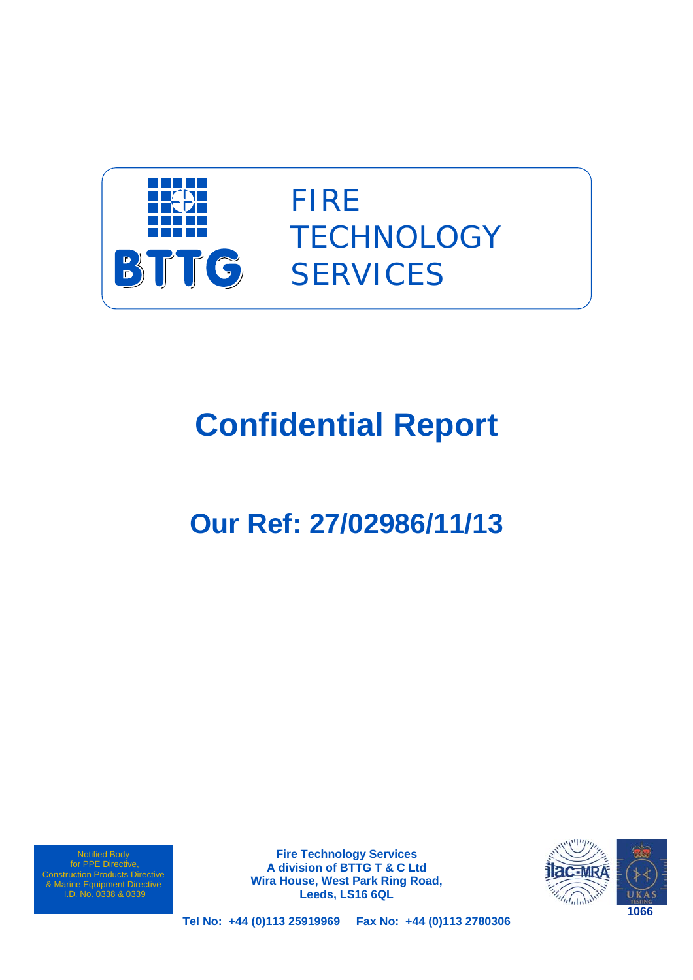

FIRE **TECHNOLOGY SERVICES** 

# **Confidential Report**

## **Our Ref: 27/02986/11/13**

Notified Body for PPE Directive, Construction Products Directive & Marine Equipment Directive I.D. No. 0338 & 0339

**Fire Technology Services A division of BTTG T & C Ltd Wira House, West Park Ring Road, Leeds, LS16 6QL** 



**Tel No: +44 (0)113 25919969 Fax No: +44 (0)113 2780306**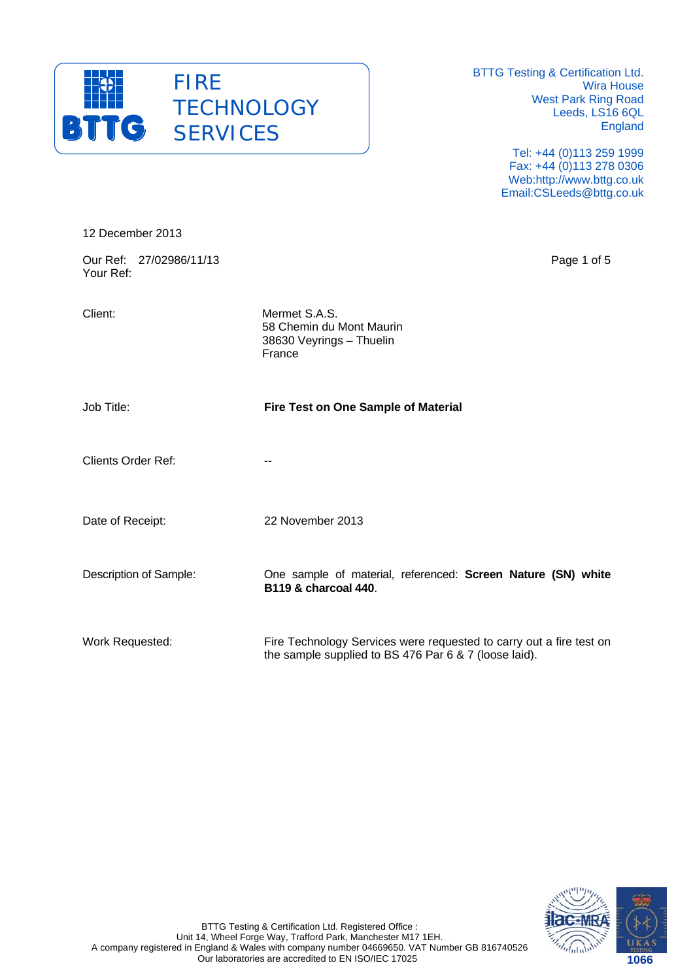

> Tel: +44 (0)113 259 1999 Fax: +44 (0)113 278 0306 Web:http://www.bttg.co.uk Email:CSLeeds@bttg.co.uk

| 12 December 2013                     |                                                                                                                              |
|--------------------------------------|------------------------------------------------------------------------------------------------------------------------------|
| Our Ref: 27/02986/11/13<br>Your Ref: | Page 1 of 5                                                                                                                  |
| Client:                              | Mermet S.A.S.<br>58 Chemin du Mont Maurin<br>38630 Veyrings - Thuelin<br>France                                              |
| Job Title:                           | Fire Test on One Sample of Material                                                                                          |
| <b>Clients Order Ref:</b>            | --                                                                                                                           |
| Date of Receipt:                     | 22 November 2013                                                                                                             |
| Description of Sample:               | One sample of material, referenced: Screen Nature (SN) white<br><b>B119 &amp; charcoal 440.</b>                              |
| Work Requested:                      | Fire Technology Services were requested to carry out a fire test on<br>the sample supplied to BS 476 Par 6 & 7 (loose laid). |

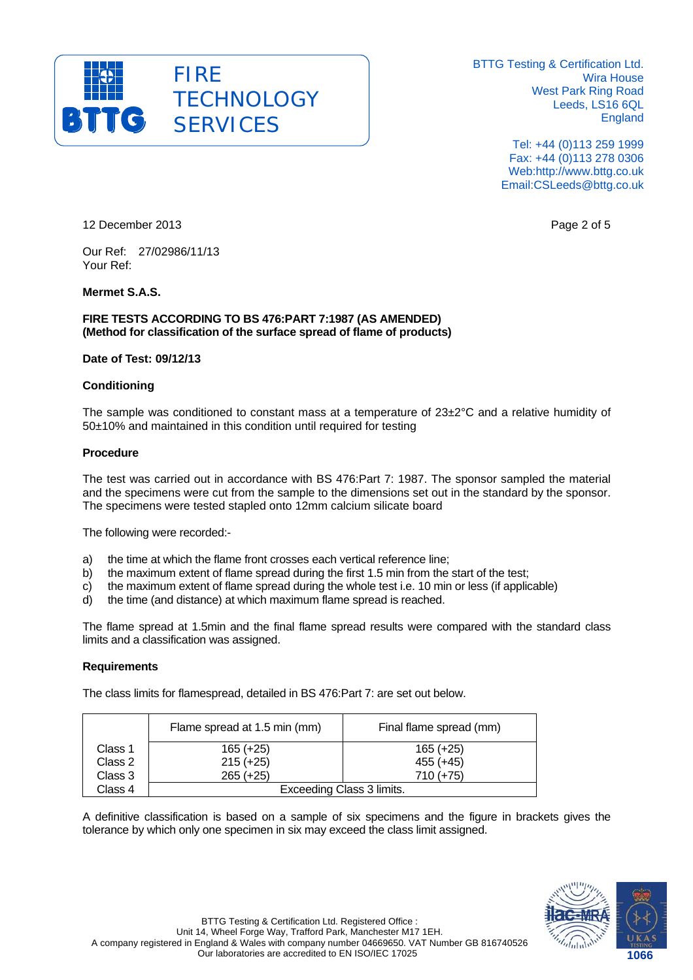

> Tel: +44 (0)113 259 1999 Fax: +44 (0)113 278 0306 Web:http://www.bttg.co.uk Email:CSLeeds@bttg.co.uk

12 December 2013 **Page 2 of 5** Page 2 of 5

Our Ref: 27/02986/11/13 Your Ref:

## **Mermet S.A.S.**

**FIRE TESTS ACCORDING TO BS 476:PART 7:1987 (AS AMENDED) (Method for classification of the surface spread of flame of products)** 

#### **Date of Test: 09/12/13**

## **Conditioning**

The sample was conditioned to constant mass at a temperature of 23±2°C and a relative humidity of 50±10% and maintained in this condition until required for testing

## **Procedure**

The test was carried out in accordance with BS 476:Part 7: 1987. The sponsor sampled the material and the specimens were cut from the sample to the dimensions set out in the standard by the sponsor. The specimens were tested stapled onto 12mm calcium silicate board

The following were recorded:-

- a) the time at which the flame front crosses each vertical reference line;
- b) the maximum extent of flame spread during the first 1.5 min from the start of the test;
- c) the maximum extent of flame spread during the whole test i.e. 10 min or less (if applicable)
- d) the time (and distance) at which maximum flame spread is reached.

The flame spread at 1.5min and the final flame spread results were compared with the standard class limits and a classification was assigned.

#### **Requirements**

The class limits for flamespread, detailed in BS 476:Part 7: are set out below.

|         | Flame spread at 1.5 min (mm) | Final flame spread (mm) |  |  |  |
|---------|------------------------------|-------------------------|--|--|--|
| Class 1 | $165 (+25)$                  | $165 (+25)$             |  |  |  |
| Class 2 | $215 (+25)$                  | $455 (+45)$             |  |  |  |
| Class 3 | $265 (+25)$                  | $710 (+75)$             |  |  |  |
| Class 4 | Exceeding Class 3 limits.    |                         |  |  |  |

A definitive classification is based on a sample of six specimens and the figure in brackets gives the tolerance by which only one specimen in six may exceed the class limit assigned.

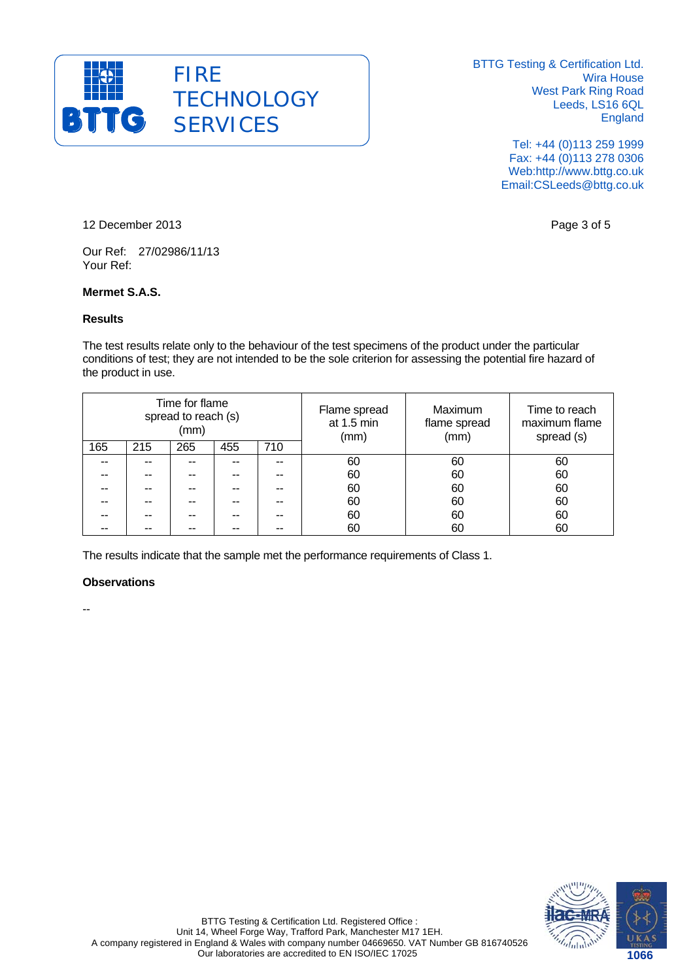

> Tel: +44 (0)113 259 1999 Fax: +44 (0)113 278 0306 Web:http://www.bttg.co.uk Email:CSLeeds@bttg.co.uk

12 December 2013 **Page 3 of 5** 

Our Ref: 27/02986/11/13 Your Ref:

## **Mermet S.A.S.**

#### **Results**

The test results relate only to the behaviour of the test specimens of the product under the particular conditions of test; they are not intended to be the sole criterion for assessing the potential fire hazard of the product in use.

| Time for flame<br>spread to reach (s)<br>(mm) |     |     | Flame spread<br>at 1.5 min<br>(mm) | Maximum<br>flame spread<br>(mm) | Time to reach<br>maximum flame<br>spread (s) |    |    |
|-----------------------------------------------|-----|-----|------------------------------------|---------------------------------|----------------------------------------------|----|----|
| 165                                           | 215 | 265 | 455                                | 710                             |                                              |    |    |
| --                                            |     |     |                                    |                                 | 60                                           | 60 | 60 |
| --                                            | --  |     |                                    |                                 | 60                                           | 60 | 60 |
| --                                            | --  |     |                                    |                                 | 60                                           | 60 | 60 |
| --                                            | --  |     |                                    |                                 | 60                                           | 60 | 60 |
|                                               |     |     |                                    |                                 | 60                                           | 60 | 60 |
|                                               |     |     |                                    |                                 | 60                                           | 60 | 60 |

The results indicate that the sample met the performance requirements of Class 1.

## **Observations**

--

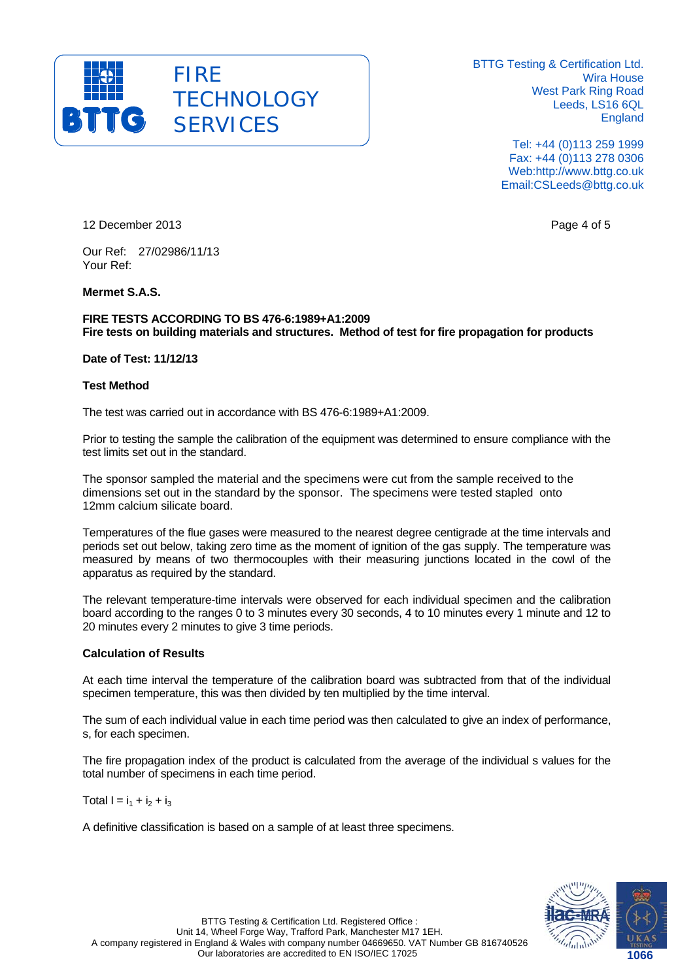

> Tel: +44 (0)113 259 1999 Fax: +44 (0)113 278 0306 Web:http://www.bttg.co.uk Email:CSLeeds@bttg.co.uk

12 December 2013 **Page 4 of 5** Page 4 of 5

Our Ref: 27/02986/11/13 Your Ref:

**Mermet S.A.S.** 

**FIRE TESTS ACCORDING TO BS 476-6:1989+A1:2009 Fire tests on building materials and structures. Method of test for fire propagation for products** 

**Date of Test: 11/12/13** 

#### **Test Method**

The test was carried out in accordance with BS 476-6:1989+A1:2009.

Prior to testing the sample the calibration of the equipment was determined to ensure compliance with the test limits set out in the standard.

The sponsor sampled the material and the specimens were cut from the sample received to the dimensions set out in the standard by the sponsor. The specimens were tested stapled onto 12mm calcium silicate board.

Temperatures of the flue gases were measured to the nearest degree centigrade at the time intervals and periods set out below, taking zero time as the moment of ignition of the gas supply. The temperature was measured by means of two thermocouples with their measuring junctions located in the cowl of the apparatus as required by the standard.

The relevant temperature-time intervals were observed for each individual specimen and the calibration board according to the ranges 0 to 3 minutes every 30 seconds, 4 to 10 minutes every 1 minute and 12 to 20 minutes every 2 minutes to give 3 time periods.

#### **Calculation of Results**

At each time interval the temperature of the calibration board was subtracted from that of the individual specimen temperature, this was then divided by ten multiplied by the time interval.

The sum of each individual value in each time period was then calculated to give an index of performance, s, for each specimen.

The fire propagation index of the product is calculated from the average of the individual s values for the total number of specimens in each time period.

Total  $I = i_1 + i_2 + i_3$ 

A definitive classification is based on a sample of at least three specimens.